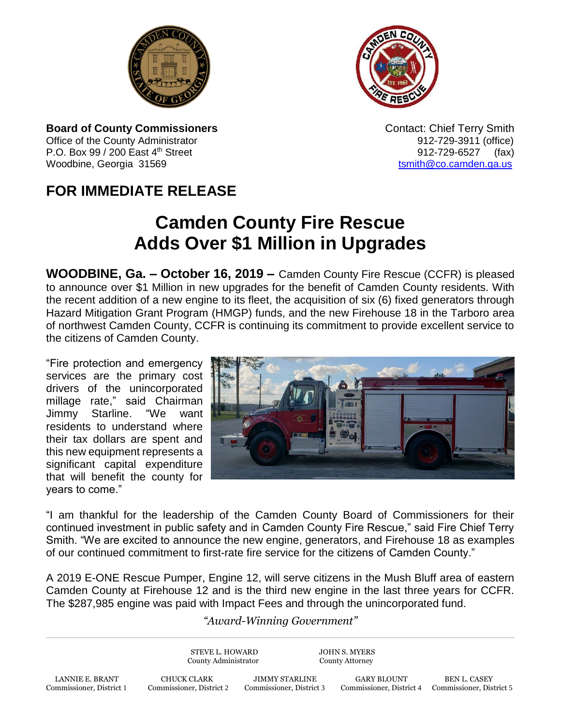



**Board of County Commissioners Contact: Chief Terry Smith Contact: Chief Terry Smith** Office of the County Administrator **912-729-3911** (office) P.O. Box 99 / 200 East 4<sup>th</sup> Street 912-729-6527 (fax) Woodbine, Georgia 31569 to the control of the control of the control of the control of the control of the control of the control of the control of the control of the control of the control of the control of the control of

## **FOR IMMEDIATE RELEASE**

## **Camden County Fire Rescue Adds Over \$1 Million in Upgrades**

**WOODBINE, Ga. – October 16, 2019 –** Camden County Fire Rescue (CCFR) is pleased to announce over \$1 Million in new upgrades for the benefit of Camden County residents. With the recent addition of a new engine to its fleet, the acquisition of six (6) fixed generators through Hazard Mitigation Grant Program (HMGP) funds, and the new Firehouse 18 in the Tarboro area of northwest Camden County, CCFR is continuing its commitment to provide excellent service to the citizens of Camden County.

"Fire protection and emergency services are the primary cost drivers of the unincorporated millage rate," said Chairman Jimmy Starline. "We want residents to understand where their tax dollars are spent and this new equipment represents a significant capital expenditure that will benefit the county for years to come."



"I am thankful for the leadership of the Camden County Board of Commissioners for their continued investment in public safety and in Camden County Fire Rescue," said Fire Chief Terry Smith. "We are excited to announce the new engine, generators, and Firehouse 18 as examples of our continued commitment to first-rate fire service for the citizens of Camden County."

A 2019 E-ONE Rescue Pumper, Engine 12, will serve citizens in the Mush Bluff area of eastern Camden County at Firehouse 12 and is the third new engine in the last three years for CCFR. The \$287,985 engine was paid with Impact Fees and through the unincorporated fund.

## *"Award-Winning Government"*

STEVE L. HOWARD JOHN S. MYERS County Administrator County Attorney